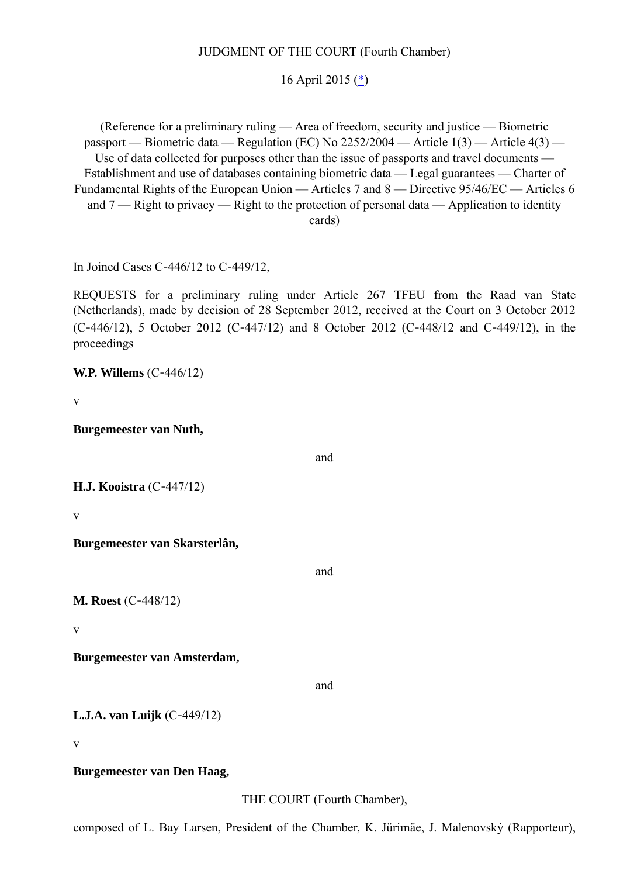## JUDGMENT OF THE COURT (Fourth Chamber)

## 16 April 2015 (\*)

(Reference for a preliminary ruling — Area of freedom, security and justice — Biometric passport — Biometric data — Regulation (EC) No 2252/2004 — Article 1(3) — Article 4(3) — Use of data collected for purposes other than the issue of passports and travel documents — Establishment and use of databases containing biometric data — Legal guarantees — Charter of Fundamental Rights of the European Union — Articles 7 and 8 — Directive 95/46/EC — Articles 6 and  $7$  — Right to privacy — Right to the protection of personal data — Application to identity cards)

In Joined Cases C‑446/12 to C‑449/12,

REQUESTS for a preliminary ruling under Article 267 TFEU from the Raad van State (Netherlands), made by decision of 28 September 2012, received at the Court on 3 October 2012 (C‑446/12), 5 October 2012 (C‑447/12) and 8 October 2012 (C‑448/12 and C‑449/12), in the proceedings

**W.P. Willems** (C‑446/12)

v

**Burgemeester van Nuth,**

and

```
H.J. Kooistra (C‑447/12)
```
v

**Burgemeester van Skarsterlân,**

and

**M. Roest** (C-448/12)

v

**Burgemeester van Amsterdam,**

and

**L.J.A. van Luijk** (C‑449/12)

v

**Burgemeester van Den Haag,**

THE COURT (Fourth Chamber),

composed of L. Bay Larsen, President of the Chamber, K. Jürimäe, J. Malenovský (Rapporteur),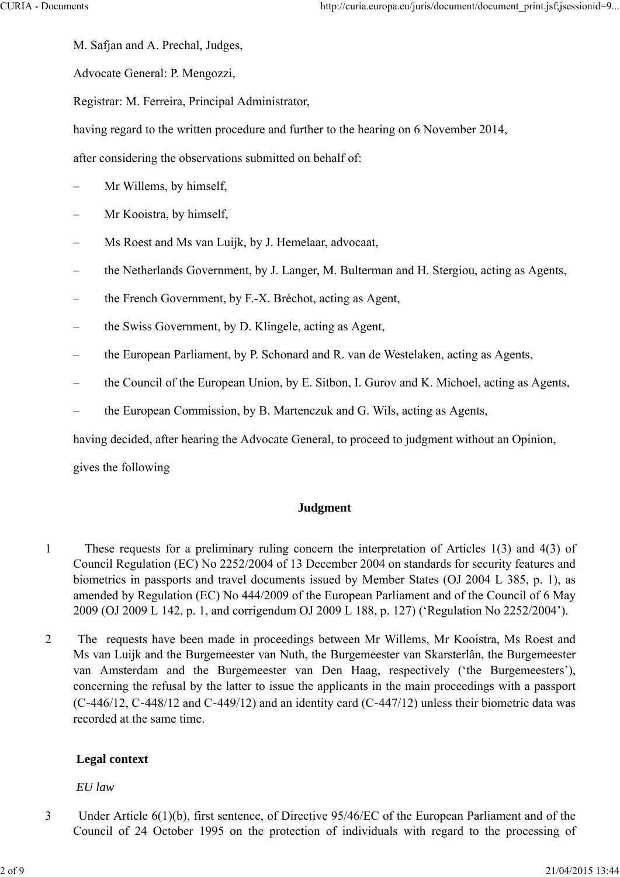M. Safjan and A. Prechal, Judges,

Advocate General: P. Mengozzi,

Registrar: M. Ferreira, Principal Administrator,

having regard to the written procedure and further to the hearing on 6 November 2014,

after considering the observations submitted on behalf of:

- Mr Willems, by himself,
- Mr Kooistra, by himself,
- Ms Roest and Ms van Luijk, by J. Hemelaar, advocaat,
- the Netherlands Government, by J. Langer, M. Bulterman and H. Stergiou, acting as Agents,
- the French Government, by F.-X. Bréchot, acting as Agent,
- the Swiss Government, by D. Klingele, acting as Agent,
- the European Parliament, by P. Schonard and R. van de Westelaken, acting as Agents,
- the Council of the European Union, by E. Sitbon, I. Gurov and K. Michoel, acting as Agents,
- the European Commission, by B. Martenczuk and G. Wils, acting as Agents,

having decided, after hearing the Advocate General, to proceed to judgment without an Opinion,

gives the following

### **Judgment**

- 1 These requests for a preliminary ruling concern the interpretation of Articles 1(3) and 4(3) of Council Regulation (EC) No 2252/2004 of 13 December 2004 on standards for security features and biometrics in passports and travel documents issued by Member States (OJ 2004 L 385, p. 1), as amended by Regulation (EC) No 444/2009 of the European Parliament and of the Council of 6 May 2009 (OJ 2009 L 142, p. 1, and corrigendum OJ 2009 L 188, p. 127) ('Regulation No 2252/2004').
- 2 The requests have been made in proceedings between Mr Willems, Mr Kooistra, Ms Roest and Ms van Luijk and the Burgemeester van Nuth, the Burgemeester van Skarsterlân, the Burgemeester van Amsterdam and the Burgemeester van Den Haag, respectively ('the Burgemeesters'), concerning the refusal by the latter to issue the applicants in the main proceedings with a passport (C‑446/12, C‑448/12 and C‑449/12) and an identity card (C‑447/12) unless their biometric data was recorded at the same time.

### **Legal context**

### *EU law*

3 Under Article 6(1)(b), first sentence, of Directive 95/46/EC of the European Parliament and of the Council of 24 October 1995 on the protection of individuals with regard to the processing of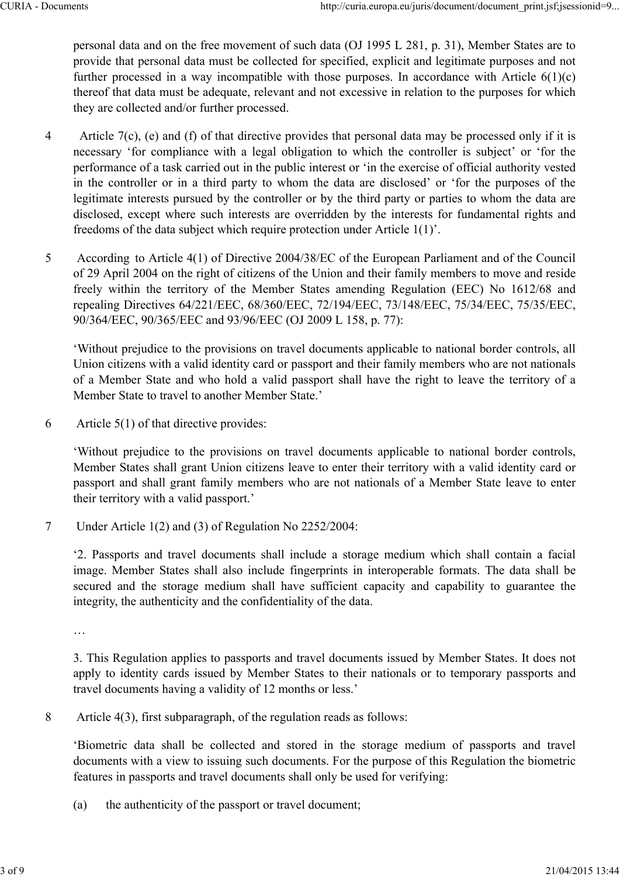personal data and on the free movement of such data (OJ 1995 L 281, p. 31), Member States are to provide that personal data must be collected for specified, explicit and legitimate purposes and not further processed in a way incompatible with those purposes. In accordance with Article  $6(1)(c)$ thereof that data must be adequate, relevant and not excessive in relation to the purposes for which they are collected and/or further processed.

- 4 Article 7(c), (e) and (f) of that directive provides that personal data may be processed only if it is necessary 'for compliance with a legal obligation to which the controller is subject' or 'for the performance of a task carried out in the public interest or 'in the exercise of official authority vested in the controller or in a third party to whom the data are disclosed' or 'for the purposes of the legitimate interests pursued by the controller or by the third party or parties to whom the data are disclosed, except where such interests are overridden by the interests for fundamental rights and freedoms of the data subject which require protection under Article 1(1)'.
- 5 According to Article 4(1) of Directive 2004/38/EC of the European Parliament and of the Council of 29 April 2004 on the right of citizens of the Union and their family members to move and reside freely within the territory of the Member States amending Regulation (EEC) No 1612/68 and repealing Directives 64/221/EEC, 68/360/EEC, 72/194/EEC, 73/148/EEC, 75/34/EEC, 75/35/EEC, 90/364/EEC, 90/365/EEC and 93/96/EEC (OJ 2009 L 158, p. 77):

'Without prejudice to the provisions on travel documents applicable to national border controls, all Union citizens with a valid identity card or passport and their family members who are not nationals of a Member State and who hold a valid passport shall have the right to leave the territory of a Member State to travel to another Member State.'

6 Article 5(1) of that directive provides:

'Without prejudice to the provisions on travel documents applicable to national border controls, Member States shall grant Union citizens leave to enter their territory with a valid identity card or passport and shall grant family members who are not nationals of a Member State leave to enter their territory with a valid passport.'

7 Under Article 1(2) and (3) of Regulation No 2252/2004:

'2. Passports and travel documents shall include a storage medium which shall contain a facial image. Member States shall also include fingerprints in interoperable formats. The data shall be secured and the storage medium shall have sufficient capacity and capability to guarantee the integrity, the authenticity and the confidentiality of the data.

…

3. This Regulation applies to passports and travel documents issued by Member States. It does not apply to identity cards issued by Member States to their nationals or to temporary passports and travel documents having a validity of 12 months or less.'

8 Article 4(3), first subparagraph, of the regulation reads as follows:

'Biometric data shall be collected and stored in the storage medium of passports and travel documents with a view to issuing such documents. For the purpose of this Regulation the biometric features in passports and travel documents shall only be used for verifying:

(a) the authenticity of the passport or travel document;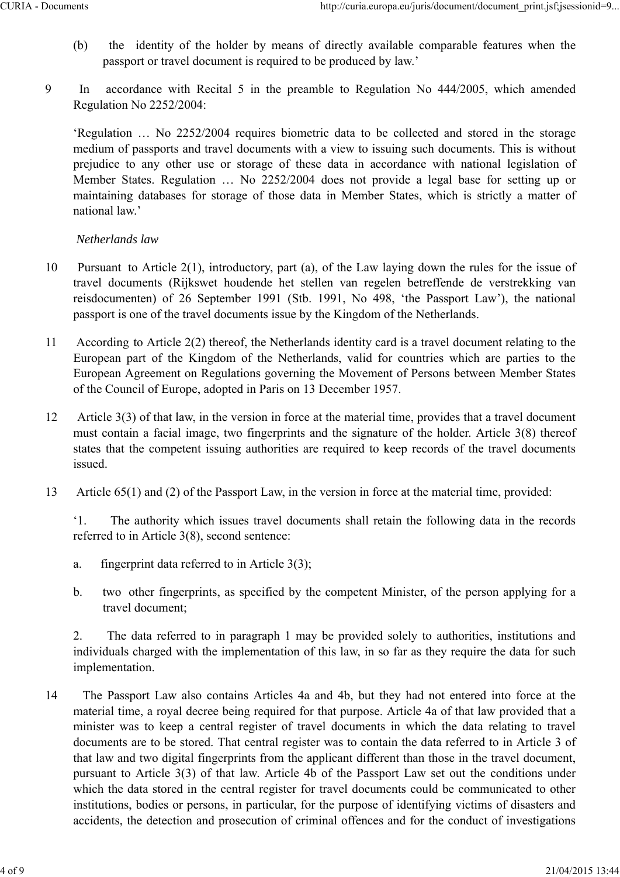- (b) the identity of the holder by means of directly available comparable features when the passport or travel document is required to be produced by law.'
- 9 In accordance with Recital 5 in the preamble to Regulation No 444/2005, which amended Regulation No 2252/2004:

'Regulation … No 2252/2004 requires biometric data to be collected and stored in the storage medium of passports and travel documents with a view to issuing such documents. This is without prejudice to any other use or storage of these data in accordance with national legislation of Member States. Regulation … No 2252/2004 does not provide a legal base for setting up or maintaining databases for storage of those data in Member States, which is strictly a matter of national law.'

# *Netherlands law*

- 10 Pursuant to Article 2(1), introductory, part (a), of the Law laying down the rules for the issue of travel documents (Rijkswet houdende het stellen van regelen betreffende de verstrekking van reisdocumenten) of 26 September 1991 (Stb. 1991, No 498, 'the Passport Law'), the national passport is one of the travel documents issue by the Kingdom of the Netherlands.
- 11 According to Article 2(2) thereof, the Netherlands identity card is a travel document relating to the European part of the Kingdom of the Netherlands, valid for countries which are parties to the European Agreement on Regulations governing the Movement of Persons between Member States of the Council of Europe, adopted in Paris on 13 December 1957.
- 12 Article 3(3) of that law, in the version in force at the material time, provides that a travel document must contain a facial image, two fingerprints and the signature of the holder. Article 3(8) thereof states that the competent issuing authorities are required to keep records of the travel documents issued.
- 13 Article 65(1) and (2) of the Passport Law, in the version in force at the material time, provided:

'1. The authority which issues travel documents shall retain the following data in the records referred to in Article 3(8), second sentence:

- a. fingerprint data referred to in Article 3(3);
- b. two other fingerprints, as specified by the competent Minister, of the person applying for a travel document;

2. The data referred to in paragraph 1 may be provided solely to authorities, institutions and individuals charged with the implementation of this law, in so far as they require the data for such implementation.

14 The Passport Law also contains Articles 4a and 4b, but they had not entered into force at the material time, a royal decree being required for that purpose. Article 4a of that law provided that a minister was to keep a central register of travel documents in which the data relating to travel documents are to be stored. That central register was to contain the data referred to in Article 3 of that law and two digital fingerprints from the applicant different than those in the travel document, pursuant to Article 3(3) of that law. Article 4b of the Passport Law set out the conditions under which the data stored in the central register for travel documents could be communicated to other institutions, bodies or persons, in particular, for the purpose of identifying victims of disasters and accidents, the detection and prosecution of criminal offences and for the conduct of investigations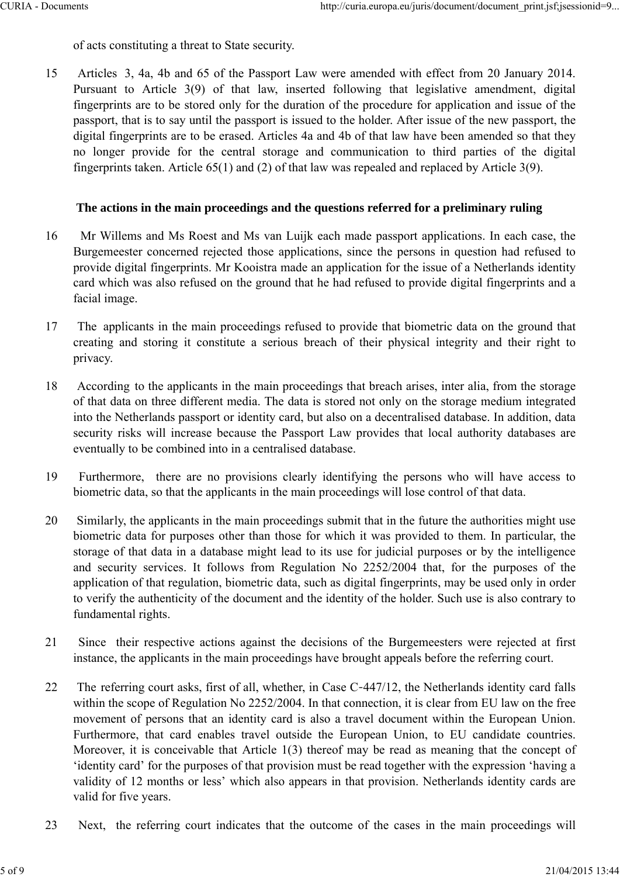of acts constituting a threat to State security.

15 Articles 3, 4a, 4b and 65 of the Passport Law were amended with effect from 20 January 2014. Pursuant to Article 3(9) of that law, inserted following that legislative amendment, digital fingerprints are to be stored only for the duration of the procedure for application and issue of the passport, that is to say until the passport is issued to the holder. After issue of the new passport, the digital fingerprints are to be erased. Articles 4a and 4b of that law have been amended so that they no longer provide for the central storage and communication to third parties of the digital fingerprints taken. Article 65(1) and (2) of that law was repealed and replaced by Article 3(9).

## **The actions in the main proceedings and the questions referred for a preliminary ruling**

- 16 Mr Willems and Ms Roest and Ms van Luijk each made passport applications. In each case, the Burgemeester concerned rejected those applications, since the persons in question had refused to provide digital fingerprints. Mr Kooistra made an application for the issue of a Netherlands identity card which was also refused on the ground that he had refused to provide digital fingerprints and a facial image.
- 17 The applicants in the main proceedings refused to provide that biometric data on the ground that creating and storing it constitute a serious breach of their physical integrity and their right to privacy.
- 18 According to the applicants in the main proceedings that breach arises, inter alia, from the storage of that data on three different media. The data is stored not only on the storage medium integrated into the Netherlands passport or identity card, but also on a decentralised database. In addition, data security risks will increase because the Passport Law provides that local authority databases are eventually to be combined into in a centralised database.
- 19 Furthermore, there are no provisions clearly identifying the persons who will have access to biometric data, so that the applicants in the main proceedings will lose control of that data.
- 20 Similarly, the applicants in the main proceedings submit that in the future the authorities might use biometric data for purposes other than those for which it was provided to them. In particular, the storage of that data in a database might lead to its use for judicial purposes or by the intelligence and security services. It follows from Regulation No 2252/2004 that, for the purposes of the application of that regulation, biometric data, such as digital fingerprints, may be used only in order to verify the authenticity of the document and the identity of the holder. Such use is also contrary to fundamental rights.
- 21 Since their respective actions against the decisions of the Burgemeesters were rejected at first instance, the applicants in the main proceedings have brought appeals before the referring court.
- 22 The referring court asks, first of all, whether, in Case C-447/12, the Netherlands identity card falls within the scope of Regulation No 2252/2004. In that connection, it is clear from EU law on the free movement of persons that an identity card is also a travel document within the European Union. Furthermore, that card enables travel outside the European Union, to EU candidate countries. Moreover, it is conceivable that Article 1(3) thereof may be read as meaning that the concept of 'identity card' for the purposes of that provision must be read together with the expression 'having a validity of 12 months or less' which also appears in that provision. Netherlands identity cards are valid for five years.
- 23 Next, the referring court indicates that the outcome of the cases in the main proceedings will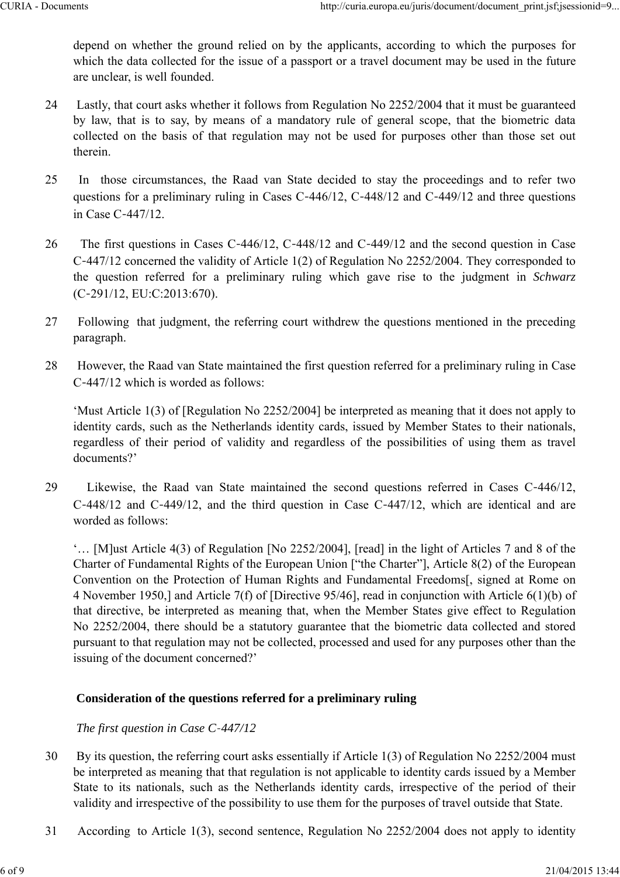depend on whether the ground relied on by the applicants, according to which the purposes for which the data collected for the issue of a passport or a travel document may be used in the future are unclear, is well founded.

- 24 Lastly, that court asks whether it follows from Regulation No 2252/2004 that it must be guaranteed by law, that is to say, by means of a mandatory rule of general scope, that the biometric data collected on the basis of that regulation may not be used for purposes other than those set out therein.
- 25 In those circumstances, the Raad van State decided to stay the proceedings and to refer two questions for a preliminary ruling in Cases C–446/12, C–448/12 and C–449/12 and three questions in Case C‑447/12.
- 26 The first questions in Cases C-446/12, C-448/12 and C-449/12 and the second question in Case C‑447/12 concerned the validity of Article 1(2) of Regulation No 2252/2004. They corresponded to the question referred for a preliminary ruling which gave rise to the judgment in *Schwarz* (C‑291/12, EU:C:2013:670).
- 27 Following that judgment, the referring court withdrew the questions mentioned in the preceding paragraph.
- 28 However, the Raad van State maintained the first question referred for a preliminary ruling in Case C‑447/12 which is worded as follows:

'Must Article 1(3) of [Regulation No 2252/2004] be interpreted as meaning that it does not apply to identity cards, such as the Netherlands identity cards, issued by Member States to their nationals, regardless of their period of validity and regardless of the possibilities of using them as travel documents?'

29 Likewise, the Raad van State maintained the second questions referred in Cases C‑446/12, C‑448/12 and C‑449/12, and the third question in Case C‑447/12, which are identical and are worded as follows:

'… [M]ust Article 4(3) of Regulation [No 2252/2004], [read] in the light of Articles 7 and 8 of the Charter of Fundamental Rights of the European Union ["the Charter"], Article 8(2) of the European Convention on the Protection of Human Rights and Fundamental Freedoms[, signed at Rome on 4 November 1950,] and Article 7(f) of [Directive 95/46], read in conjunction with Article 6(1)(b) of that directive, be interpreted as meaning that, when the Member States give effect to Regulation No 2252/2004, there should be a statutory guarantee that the biometric data collected and stored pursuant to that regulation may not be collected, processed and used for any purposes other than the issuing of the document concerned?'

## **Consideration of the questions referred for a preliminary ruling**

## *The first question in Case C 447/12*

- 30 By its question, the referring court asks essentially if Article 1(3) of Regulation No 2252/2004 must be interpreted as meaning that that regulation is not applicable to identity cards issued by a Member State to its nationals, such as the Netherlands identity cards, irrespective of the period of their validity and irrespective of the possibility to use them for the purposes of travel outside that State.
- 31 According to Article 1(3), second sentence, Regulation No 2252/2004 does not apply to identity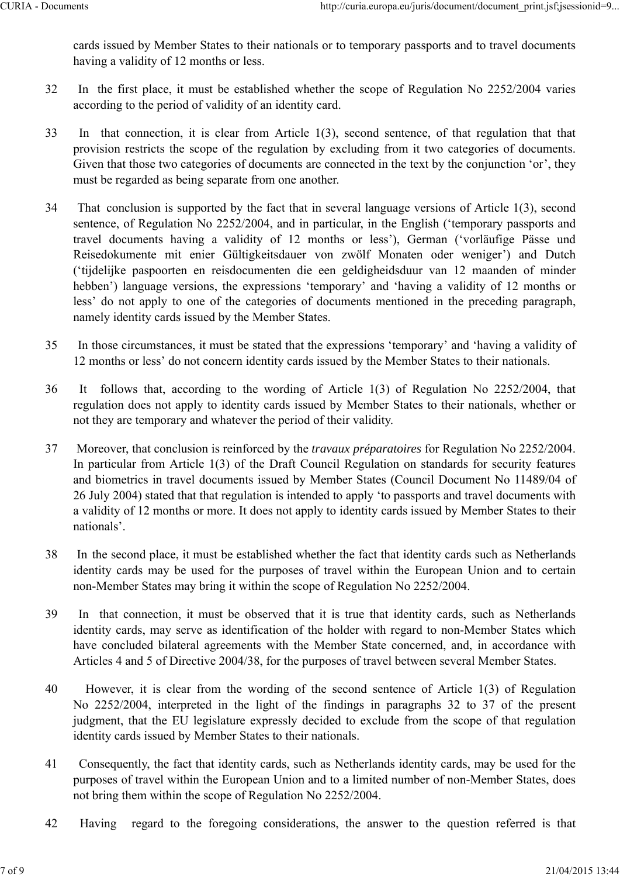cards issued by Member States to their nationals or to temporary passports and to travel documents having a validity of 12 months or less.

- 32 In the first place, it must be established whether the scope of Regulation No 2252/2004 varies according to the period of validity of an identity card.
- 33 In that connection, it is clear from Article 1(3), second sentence, of that regulation that that provision restricts the scope of the regulation by excluding from it two categories of documents. Given that those two categories of documents are connected in the text by the conjunction 'or', they must be regarded as being separate from one another.
- 34 That conclusion is supported by the fact that in several language versions of Article 1(3), second sentence, of Regulation No 2252/2004, and in particular, in the English ('temporary passports and travel documents having a validity of 12 months or less'), German ('vorläufige Pässe und Reisedokumente mit enier Gültigkeitsdauer von zwölf Monaten oder weniger') and Dutch ('tijdelijke paspoorten en reisdocumenten die een geldigheidsduur van 12 maanden of minder hebben') language versions, the expressions 'temporary' and 'having a validity of 12 months or less' do not apply to one of the categories of documents mentioned in the preceding paragraph, namely identity cards issued by the Member States.
- 35 In those circumstances, it must be stated that the expressions 'temporary' and 'having a validity of 12 months or less' do not concern identity cards issued by the Member States to their nationals.
- 36 It follows that, according to the wording of Article 1(3) of Regulation No 2252/2004, that regulation does not apply to identity cards issued by Member States to their nationals, whether or not they are temporary and whatever the period of their validity.
- 37 Moreover, that conclusion is reinforced by the *travaux préparatoires* for Regulation No 2252/2004. In particular from Article 1(3) of the Draft Council Regulation on standards for security features and biometrics in travel documents issued by Member States (Council Document No 11489/04 of 26 July 2004) stated that that regulation is intended to apply 'to passports and travel documents with a validity of 12 months or more. It does not apply to identity cards issued by Member States to their nationals'.
- 38 In the second place, it must be established whether the fact that identity cards such as Netherlands identity cards may be used for the purposes of travel within the European Union and to certain non-Member States may bring it within the scope of Regulation No 2252/2004.
- 39 In that connection, it must be observed that it is true that identity cards, such as Netherlands identity cards, may serve as identification of the holder with regard to non-Member States which have concluded bilateral agreements with the Member State concerned, and, in accordance with Articles 4 and 5 of Directive 2004/38, for the purposes of travel between several Member States.
- 40 However, it is clear from the wording of the second sentence of Article 1(3) of Regulation No 2252/2004, interpreted in the light of the findings in paragraphs 32 to 37 of the present judgment, that the EU legislature expressly decided to exclude from the scope of that regulation identity cards issued by Member States to their nationals.
- 41 Consequently, the fact that identity cards, such as Netherlands identity cards, may be used for the purposes of travel within the European Union and to a limited number of non-Member States, does not bring them within the scope of Regulation No 2252/2004.
- 42 Having regard to the foregoing considerations, the answer to the question referred is that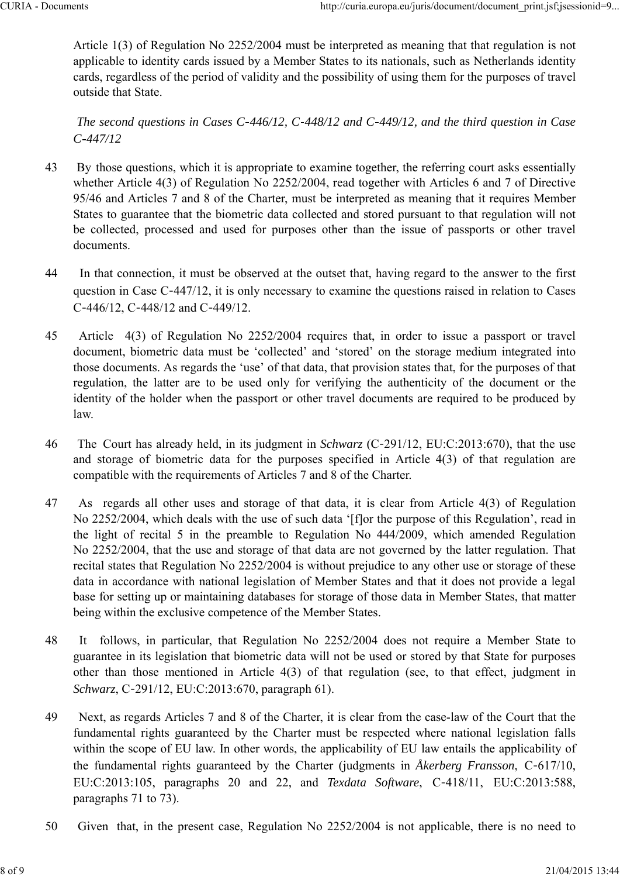Article 1(3) of Regulation No 2252/2004 must be interpreted as meaning that that regulation is not applicable to identity cards issued by a Member States to its nationals, such as Netherlands identity cards, regardless of the period of validity and the possibility of using them for the purposes of travel outside that State.

*The second questions in Cases C 446/12, C 448/12 and C 449/12, and the third question in Case C 447/12*

- 43 By those questions, which it is appropriate to examine together, the referring court asks essentially whether Article 4(3) of Regulation No 2252/2004, read together with Articles 6 and 7 of Directive 95/46 and Articles 7 and 8 of the Charter, must be interpreted as meaning that it requires Member States to guarantee that the biometric data collected and stored pursuant to that regulation will not be collected, processed and used for purposes other than the issue of passports or other travel documents.
- 44 In that connection, it must be observed at the outset that, having regard to the answer to the first question in Case C‑447/12, it is only necessary to examine the questions raised in relation to Cases C-446/12, C-448/12 and C-449/12.
- 45 Article 4(3) of Regulation No 2252/2004 requires that, in order to issue a passport or travel document, biometric data must be 'collected' and 'stored' on the storage medium integrated into those documents. As regards the 'use' of that data, that provision states that, for the purposes of that regulation, the latter are to be used only for verifying the authenticity of the document or the identity of the holder when the passport or other travel documents are required to be produced by law.
- 46 The Court has already held, in its judgment in *Schwarz* (C‑291/12, EU:C:2013:670), that the use and storage of biometric data for the purposes specified in Article 4(3) of that regulation are compatible with the requirements of Articles 7 and 8 of the Charter.
- 47 As regards all other uses and storage of that data, it is clear from Article 4(3) of Regulation No 2252/2004, which deals with the use of such data '[f]or the purpose of this Regulation', read in the light of recital 5 in the preamble to Regulation No 444/2009, which amended Regulation No 2252/2004, that the use and storage of that data are not governed by the latter regulation. That recital states that Regulation No 2252/2004 is without prejudice to any other use or storage of these data in accordance with national legislation of Member States and that it does not provide a legal base for setting up or maintaining databases for storage of those data in Member States, that matter being within the exclusive competence of the Member States.
- 48 It follows, in particular, that Regulation No 2252/2004 does not require a Member State to guarantee in its legislation that biometric data will not be used or stored by that State for purposes other than those mentioned in Article 4(3) of that regulation (see, to that effect, judgment in *Schwarz*, C‑291/12, EU:C:2013:670, paragraph 61).
- 49 Next, as regards Articles 7 and 8 of the Charter, it is clear from the case-law of the Court that the fundamental rights guaranteed by the Charter must be respected where national legislation falls within the scope of EU law. In other words, the applicability of EU law entails the applicability of the fundamental rights guaranteed by the Charter (judgments in *Åkerberg Fransson*, C‑617/10, EU:C:2013:105, paragraphs 20 and 22, and *Texdata Software*, C‑418/11, EU:C:2013:588, paragraphs 71 to 73).
- 50 Given that, in the present case, Regulation No 2252/2004 is not applicable, there is no need to